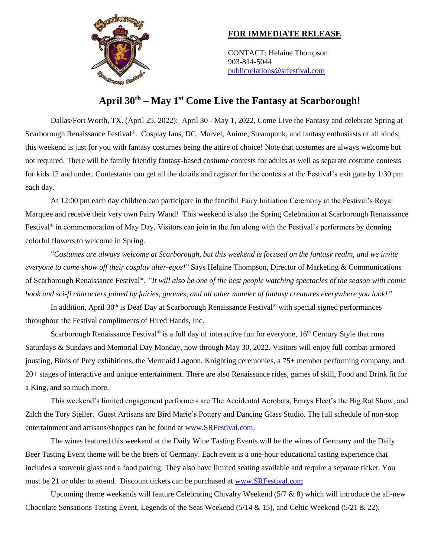

## **FOR IMMEDIATE RELEASE**

CONTACT: Helaine Thompson 903-814-5044 [publicrelations@srfestival.com](mailto:publicrelations@srfestival.com)

## **April 30th – May 1st Come Live the Fantasy at Scarborough!**

Dallas/Fort Worth, TX. (April 25, 2022): April 30 - May 1, 2022, Come Live the Fantasy and celebrate Spring at Scarborough Renaissance Festival®. Cosplay fans, DC, Marvel, Anime, Steampunk, and fantasy enthusiasts of all kinds; this weekend is just for you with fantasy costumes being the attire of choice! Note that costumes are always welcome but not required. There will be family friendly fantasy-based costume contests for adults as well as separate costume contests for kids 12 and under. Contestants can get all the details and register for the contests at the Festival's exit gate by 1:30 pm each day.

At 12:00 pm each day children can participate in the fanciful Fairy Initiation Ceremony at the Festival's Royal Marquee and receive their very own Fairy Wand! This weekend is also the Spring Celebration at Scarborough Renaissance Festival® in commemoration of May Day. Visitors can join in the fun along with the Festival's performers by donning colorful flowers to welcome in Spring.

"*Costumes are always welcome at Scarborough, but this weekend is focused on the fantasy realm, and we invite everyone to come show off their cosplay alter-egos!*" Says Helaine Thompson, Director of Marketing & Communications of Scarborough Renaissance Festival®*. "It will also be one of the best people watching spectacles of the season with comic book and sci-fi characters joined by fairies, gnomes, and all other manner of fantasy creatures everywhere you look!"*

In addition, April 30<sup>th</sup> is Deaf Day at Scarborough Renaissance Festival<sup>®</sup> with special signed performances throughout the Festival compliments of Hired Hands, Inc.

Scarborough Renaissance Festival<sup>®</sup> is a full day of interactive fun for everyone,  $16<sup>th</sup>$  Century Style that runs Saturdays & Sundays and Memorial Day Monday, now through May 30, 2022. Visitors will enjoy full combat armored jousting, Birds of Prey exhibitions, the Mermaid Lagoon, Knighting ceremonies, a 75+ member performing company, and 20+ stages of interactive and unique entertainment. There are also Renaissance rides, games of skill, Food and Drink fit for a King, and so much more.

This weekend's limited engagement performers are The Accidental Acrobats, Emrys Fleet's the Big Rat Show, and Zilch the Tory Steller. Guest Artisans are Bird Marie's Pottery and Dancing Glass Studio. The full schedule of non-stop entertainment and artisans/shoppes can be found at [www.SRFestival.com.](http://www.srfestival.com/)

The wines featured this weekend at the Daily Wine Tasting Events will be the wines of Germany and the Daily Beer Tasting Event theme will be the beers of Germany. Each event is a one-hour educational tasting experience that includes a souvenir glass and a food pairing. They also have limited seating available and require a separate ticket. You must be 21 or older to attend. Discount tickets can be purchased at [www.SRFestival.com](http://www.srfestival.com/)

Upcoming theme weekends will feature Celebrating Chivalry Weekend  $(5/7 \& 8)$  which will introduce the all-new Chocolate Sensations Tasting Event, Legends of the Seas Weekend (5/14 & 15), and Celtic Weekend (5/21 & 22).